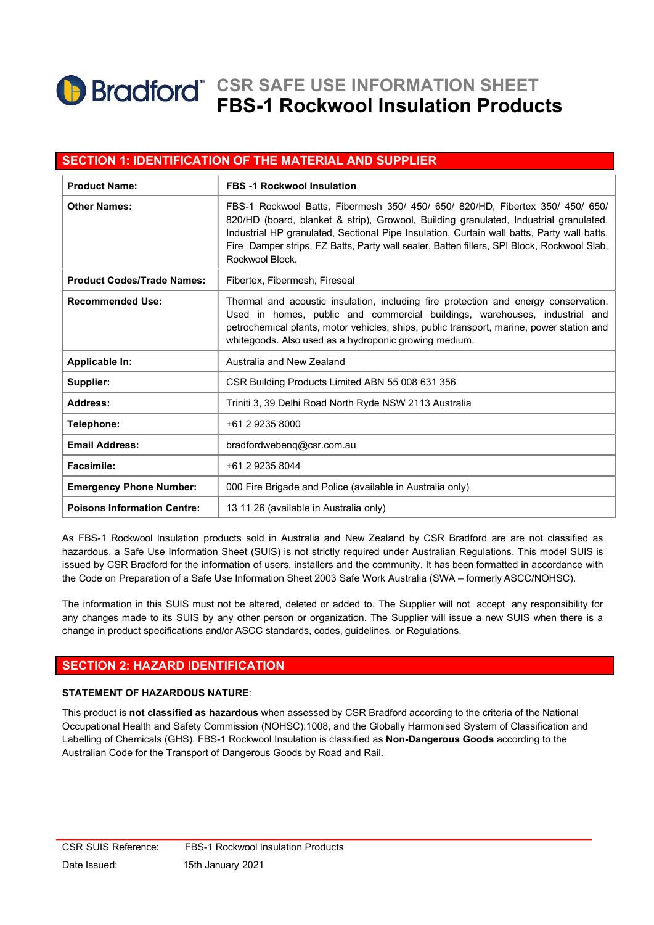# **Bradford** CSR SAFE USE INFORMATION SHEET FBS-1 Rockwool Insulation Products

### SECTION 1: IDENTIFICATION OF THE MATERIAL AND SUPPLIER

| <b>Product Name:</b>               | <b>FBS -1 Rockwool Insulation</b>                                                                                                                                                                                                                                                                                                                                                      |
|------------------------------------|----------------------------------------------------------------------------------------------------------------------------------------------------------------------------------------------------------------------------------------------------------------------------------------------------------------------------------------------------------------------------------------|
| <b>Other Names:</b>                | FBS-1 Rockwool Batts, Fibermesh 350/ 450/ 650/ 820/HD, Fibertex 350/ 450/ 650/<br>820/HD (board, blanket & strip), Growool, Building granulated, Industrial granulated,<br>Industrial HP granulated, Sectional Pipe Insulation, Curtain wall batts, Party wall batts,<br>Fire Damper strips, FZ Batts, Party wall sealer, Batten fillers, SPI Block, Rockwool Slab,<br>Rockwool Block. |
| <b>Product Codes/Trade Names:</b>  | Fibertex, Fibermesh, Fireseal                                                                                                                                                                                                                                                                                                                                                          |
| <b>Recommended Use:</b>            | Thermal and acoustic insulation, including fire protection and energy conservation.<br>Used in homes, public and commercial buildings, warehouses, industrial and<br>petrochemical plants, motor vehicles, ships, public transport, marine, power station and<br>whitegoods. Also used as a hydroponic growing medium.                                                                 |
| Applicable In:                     | Australia and New Zealand                                                                                                                                                                                                                                                                                                                                                              |
| Supplier:                          | CSR Building Products Limited ABN 55 008 631 356                                                                                                                                                                                                                                                                                                                                       |
| Address:                           | Triniti 3, 39 Delhi Road North Ryde NSW 2113 Australia                                                                                                                                                                                                                                                                                                                                 |
| Telephone:                         | +61 2 9235 8000                                                                                                                                                                                                                                                                                                                                                                        |
| <b>Email Address:</b>              | bradfordwebenq@csr.com.au                                                                                                                                                                                                                                                                                                                                                              |
| <b>Facsimile:</b>                  | +61 2 9235 8044                                                                                                                                                                                                                                                                                                                                                                        |
| <b>Emergency Phone Number:</b>     | 000 Fire Brigade and Police (available in Australia only)                                                                                                                                                                                                                                                                                                                              |
| <b>Poisons Information Centre:</b> | 13 11 26 (available in Australia only)                                                                                                                                                                                                                                                                                                                                                 |

As FBS-1 Rockwool Insulation products sold in Australia and New Zealand by CSR Bradford are are not classified as hazardous, a Safe Use Information Sheet (SUIS) is not strictly required under Australian Regulations. This model SUIS is issued by CSR Bradford for the information of users, installers and the community. It has been formatted in accordance with the Code on Preparation of a Safe Use Information Sheet 2003 Safe Work Australia (SWA – formerly ASCC/NOHSC).

The information in this SUIS must not be altered, deleted or added to. The Supplier will not accept any responsibility for any changes made to its SUIS by any other person or organization. The Supplier will issue a new SUIS when there is a change in product specifications and/or ASCC standards, codes, guidelines, or Regulations.

#### SECTION 2: HAZARD IDENTIFICATION

#### STATEMENT OF HAZARDOUS NATURE:

This product is not classified as hazardous when assessed by CSR Bradford according to the criteria of the National Occupational Health and Safety Commission (NOHSC):1008, and the Globally Harmonised System of Classification and Labelling of Chemicals (GHS). FBS-1 Rockwool Insulation is classified as Non-Dangerous Goods according to the Australian Code for the Transport of Dangerous Goods by Road and Rail.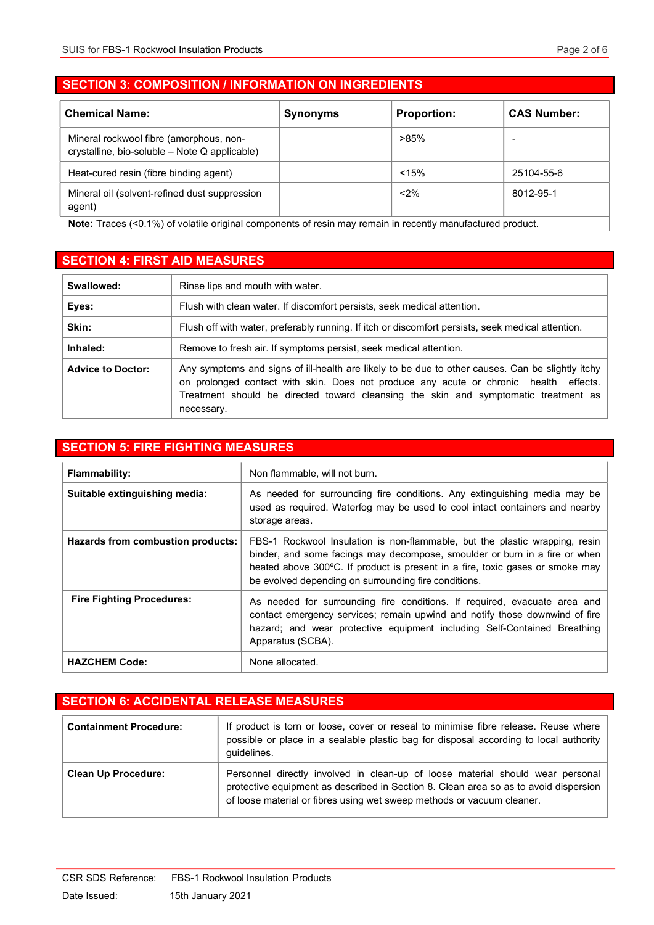$\overline{\phantom{a}}$ 

## SECTION 3: COMPOSITION / INFORMATION ON INGREDIENTS

| <b>Chemical Name:</b>                                                                    | <b>Synonyms</b> | <b>Proportion:</b> | <b>CAS Number:</b> |
|------------------------------------------------------------------------------------------|-----------------|--------------------|--------------------|
| Mineral rockwool fibre (amorphous, non-<br>crystalline, bio-soluble - Note Q applicable) |                 | $>85\%$            |                    |
| Heat-cured resin (fibre binding agent)                                                   |                 | < 15%              | 25104-55-6         |
| Mineral oil (solvent-refined dust suppression<br>agent)                                  |                 | $< 2\%$            | 8012-95-1          |

Note: Traces (<0.1%) of volatile original components of resin may remain in recently manufactured product.

## SECTION 4: FIRST AID MEASURES

| Swallowed:               | Rinse lips and mouth with water.                                                                                                                                                                                                                                                               |
|--------------------------|------------------------------------------------------------------------------------------------------------------------------------------------------------------------------------------------------------------------------------------------------------------------------------------------|
| Eyes:                    | Flush with clean water. If discomfort persists, seek medical attention.                                                                                                                                                                                                                        |
| Skin:                    | Flush off with water, preferably running. If itch or discomfort persists, seek medical attention.                                                                                                                                                                                              |
| Inhaled:                 | Remove to fresh air. If symptoms persist, seek medical attention.                                                                                                                                                                                                                              |
| <b>Advice to Doctor:</b> | Any symptoms and signs of ill-health are likely to be due to other causes. Can be slightly itchy<br>on prolonged contact with skin. Does not produce any acute or chronic health effects.<br>Treatment should be directed toward cleansing the skin and symptomatic treatment as<br>necessary. |

## SECTION 5: FIRE FIGHTING MEASURES

| <b>Flammability:</b>              | Non flammable, will not burn.                                                                                                                                                                                                                                                                      |
|-----------------------------------|----------------------------------------------------------------------------------------------------------------------------------------------------------------------------------------------------------------------------------------------------------------------------------------------------|
| Suitable extinguishing media:     | As needed for surrounding fire conditions. Any extinguishing media may be<br>used as required. Waterfog may be used to cool intact containers and nearby<br>storage areas.                                                                                                                         |
| Hazards from combustion products: | FBS-1 Rockwool Insulation is non-flammable, but the plastic wrapping, resin<br>binder, and some facings may decompose, smoulder or burn in a fire or when<br>heated above 300°C. If product is present in a fire, toxic gases or smoke may<br>be evolved depending on surrounding fire conditions. |
| <b>Fire Fighting Procedures:</b>  | As needed for surrounding fire conditions. If required, evacuate area and<br>contact emergency services; remain upwind and notify those downwind of fire<br>hazard; and wear protective equipment including Self-Contained Breathing<br>Apparatus (SCBA).                                          |
| <b>HAZCHEM Code:</b>              | None allocated.                                                                                                                                                                                                                                                                                    |

### SECTION 6: ACCIDENTAL RELEASE MEASURES

| <b>Containment Procedure:</b> | If product is torn or loose, cover or reseal to minimise fibre release. Reuse where<br>possible or place in a sealable plastic bag for disposal according to local authority<br>quidelines.                                                      |
|-------------------------------|--------------------------------------------------------------------------------------------------------------------------------------------------------------------------------------------------------------------------------------------------|
| <b>Clean Up Procedure:</b>    | Personnel directly involved in clean-up of loose material should wear personal<br>protective equipment as described in Section 8. Clean area so as to avoid dispersion<br>of loose material or fibres using wet sweep methods or vacuum cleaner. |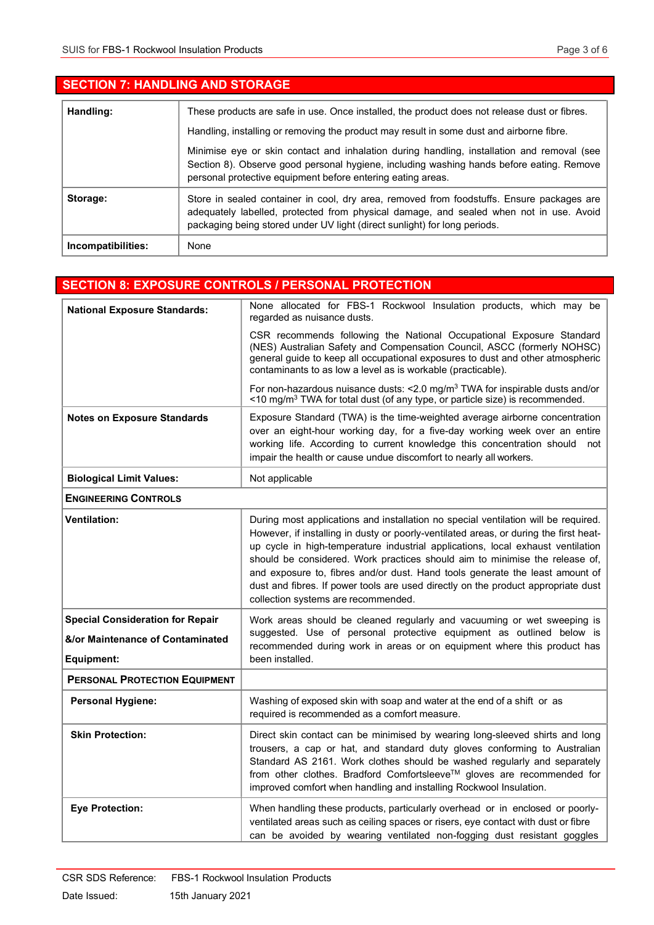| <b>SECTION 7: HANDLING AND STORAGE</b> |                                                                                                                                                                                                                                                                  |
|----------------------------------------|------------------------------------------------------------------------------------------------------------------------------------------------------------------------------------------------------------------------------------------------------------------|
| Handling:                              | These products are safe in use. Once installed, the product does not release dust or fibres.<br>Handling, installing or removing the product may result in some dust and airborne fibre.                                                                         |
|                                        | Minimise eye or skin contact and inhalation during handling, installation and removal (see<br>Section 8). Observe good personal hygiene, including washing hands before eating. Remove<br>personal protective equipment before entering eating areas.            |
| Storage:                               | Store in sealed container in cool, dry area, removed from foodstuffs. Ensure packages are<br>adequately labelled, protected from physical damage, and sealed when not in use. Avoid<br>packaging being stored under UV light (direct sunlight) for long periods. |
| Incompatibilities:                     | None                                                                                                                                                                                                                                                             |

|                                                                                           | <b>SECTION 8: EXPOSURE CONTROLS / PERSONAL PROTECTION</b>                                                                                                                                                                                                                                                                                                                                                                                                                                                                                                 |
|-------------------------------------------------------------------------------------------|-----------------------------------------------------------------------------------------------------------------------------------------------------------------------------------------------------------------------------------------------------------------------------------------------------------------------------------------------------------------------------------------------------------------------------------------------------------------------------------------------------------------------------------------------------------|
| <b>National Exposure Standards:</b>                                                       | None allocated for FBS-1 Rockwool Insulation products, which may be<br>regarded as nuisance dusts.                                                                                                                                                                                                                                                                                                                                                                                                                                                        |
|                                                                                           | CSR recommends following the National Occupational Exposure Standard<br>(NES) Australian Safety and Compensation Council, ASCC (formerly NOHSC)<br>general guide to keep all occupational exposures to dust and other atmospheric<br>contaminants to as low a level as is workable (practicable).                                                                                                                                                                                                                                                         |
|                                                                                           | For non-hazardous nuisance dusts: <2.0 mg/m <sup>3</sup> TWA for inspirable dusts and/or<br><10 mg/m <sup>3</sup> TWA for total dust (of any type, or particle size) is recommended.                                                                                                                                                                                                                                                                                                                                                                      |
| <b>Notes on Exposure Standards</b>                                                        | Exposure Standard (TWA) is the time-weighted average airborne concentration<br>over an eight-hour working day, for a five-day working week over an entire<br>working life. According to current knowledge this concentration should not<br>impair the health or cause undue discomfort to nearly all workers.                                                                                                                                                                                                                                             |
| <b>Biological Limit Values:</b>                                                           | Not applicable                                                                                                                                                                                                                                                                                                                                                                                                                                                                                                                                            |
| <b>ENGINEERING CONTROLS</b>                                                               |                                                                                                                                                                                                                                                                                                                                                                                                                                                                                                                                                           |
| <b>Ventilation:</b>                                                                       | During most applications and installation no special ventilation will be required.<br>However, if installing in dusty or poorly-ventilated areas, or during the first heat-<br>up cycle in high-temperature industrial applications, local exhaust ventilation<br>should be considered. Work practices should aim to minimise the release of,<br>and exposure to, fibres and/or dust. Hand tools generate the least amount of<br>dust and fibres. If power tools are used directly on the product appropriate dust<br>collection systems are recommended. |
| <b>Special Consideration for Repair</b><br>&/or Maintenance of Contaminated<br>Equipment: | Work areas should be cleaned regularly and vacuuming or wet sweeping is<br>suggested. Use of personal protective equipment as outlined below is<br>recommended during work in areas or on equipment where this product has<br>been installed.                                                                                                                                                                                                                                                                                                             |
| <b>PERSONAL PROTECTION EQUIPMENT</b>                                                      |                                                                                                                                                                                                                                                                                                                                                                                                                                                                                                                                                           |
| <b>Personal Hygiene:</b>                                                                  | Washing of exposed skin with soap and water at the end of a shift or as<br>required is recommended as a comfort measure.                                                                                                                                                                                                                                                                                                                                                                                                                                  |
| <b>Skin Protection:</b>                                                                   | Direct skin contact can be minimised by wearing long-sleeved shirts and long<br>trousers, a cap or hat, and standard duty gloves conforming to Australian<br>Standard AS 2161. Work clothes should be washed regularly and separately<br>from other clothes. Bradford Comfortsleeve™ gloves are recommended for<br>improved comfort when handling and installing Rockwool Insulation.                                                                                                                                                                     |
| <b>Eye Protection:</b>                                                                    | When handling these products, particularly overhead or in enclosed or poorly-<br>ventilated areas such as ceiling spaces or risers, eye contact with dust or fibre<br>can be avoided by wearing ventilated non-fogging dust resistant goggles                                                                                                                                                                                                                                                                                                             |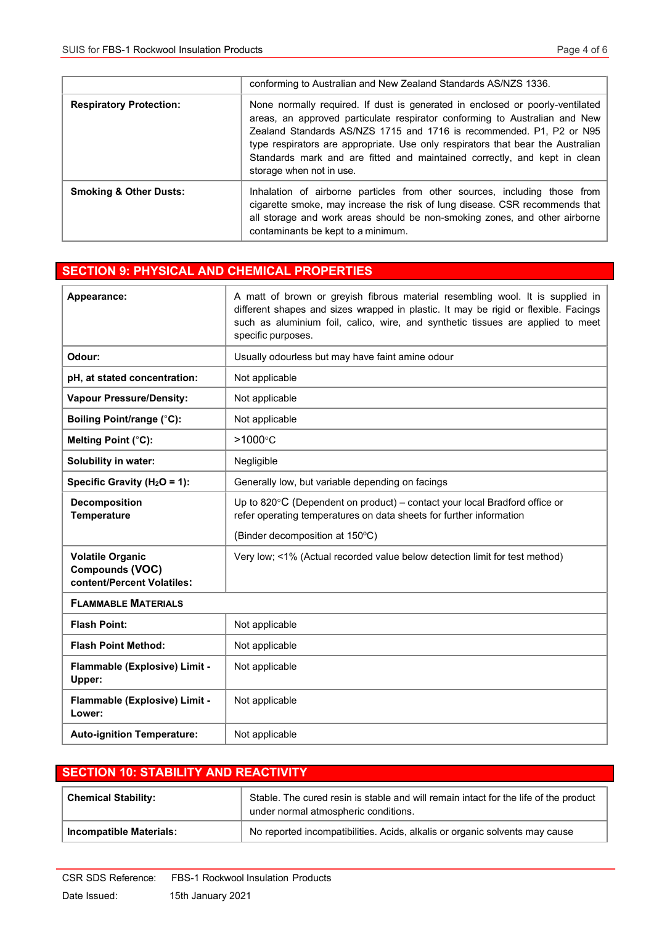|                                   | conforming to Australian and New Zealand Standards AS/NZS 1336.                                                                                                                                                                                                                                                                                                                                                                 |
|-----------------------------------|---------------------------------------------------------------------------------------------------------------------------------------------------------------------------------------------------------------------------------------------------------------------------------------------------------------------------------------------------------------------------------------------------------------------------------|
| <b>Respiratory Protection:</b>    | None normally required. If dust is generated in enclosed or poorly-ventilated<br>areas, an approved particulate respirator conforming to Australian and New<br>Zealand Standards AS/NZS 1715 and 1716 is recommended. P1, P2 or N95<br>type respirators are appropriate. Use only respirators that bear the Australian<br>Standards mark and are fitted and maintained correctly, and kept in clean<br>storage when not in use. |
| <b>Smoking &amp; Other Dusts:</b> | Inhalation of airborne particles from other sources, including those from<br>cigarette smoke, may increase the risk of lung disease. CSR recommends that<br>all storage and work areas should be non-smoking zones, and other airborne<br>contaminants be kept to a minimum.                                                                                                                                                    |

## SECTION 9: PHYSICAL AND CHEMICAL PROPERTIES

| Appearance:                                                                     | A matt of brown or greyish fibrous material resembling wool. It is supplied in<br>different shapes and sizes wrapped in plastic. It may be rigid or flexible. Facings<br>such as aluminium foil, calico, wire, and synthetic tissues are applied to meet<br>specific purposes. |
|---------------------------------------------------------------------------------|--------------------------------------------------------------------------------------------------------------------------------------------------------------------------------------------------------------------------------------------------------------------------------|
| Odour:                                                                          | Usually odourless but may have faint amine odour                                                                                                                                                                                                                               |
| pH, at stated concentration:                                                    | Not applicable                                                                                                                                                                                                                                                                 |
| <b>Vapour Pressure/Density:</b>                                                 | Not applicable                                                                                                                                                                                                                                                                 |
| Boiling Point/range (°C):                                                       | Not applicable                                                                                                                                                                                                                                                                 |
| Melting Point (°C):                                                             | $>1000^{\circ}$ C                                                                                                                                                                                                                                                              |
| <b>Solubility in water:</b>                                                     | Negligible                                                                                                                                                                                                                                                                     |
| Specific Gravity ( $H_2O = 1$ ):                                                | Generally low, but variable depending on facings                                                                                                                                                                                                                               |
| <b>Decomposition</b><br><b>Temperature</b>                                      | Up to 820 $\mathrm{^{\circ}C}$ (Dependent on product) – contact your local Bradford office or<br>refer operating temperatures on data sheets for further information                                                                                                           |
|                                                                                 | (Binder decomposition at 150°C)                                                                                                                                                                                                                                                |
| <b>Volatile Organic</b><br><b>Compounds (VOC)</b><br>content/Percent Volatiles: | Very low; <1% (Actual recorded value below detection limit for test method)                                                                                                                                                                                                    |
| <b>FLAMMABLE MATERIALS</b>                                                      |                                                                                                                                                                                                                                                                                |
| <b>Flash Point:</b>                                                             | Not applicable                                                                                                                                                                                                                                                                 |
| <b>Flash Point Method:</b>                                                      | Not applicable                                                                                                                                                                                                                                                                 |
| Flammable (Explosive) Limit -<br>Upper:                                         | Not applicable                                                                                                                                                                                                                                                                 |
| Flammable (Explosive) Limit -<br>Lower:                                         | Not applicable                                                                                                                                                                                                                                                                 |
| <b>Auto-ignition Temperature:</b>                                               | Not applicable                                                                                                                                                                                                                                                                 |

## SECTION 10: STABILITY AND REACTIVITY Chemical Stability: Stable. The cured resin is stable and will remain intact for the life of the product under normal atmospheric conditions. Incompatible Materials: No reported incompatibilities. Acids, alkalis or organic solvents may cause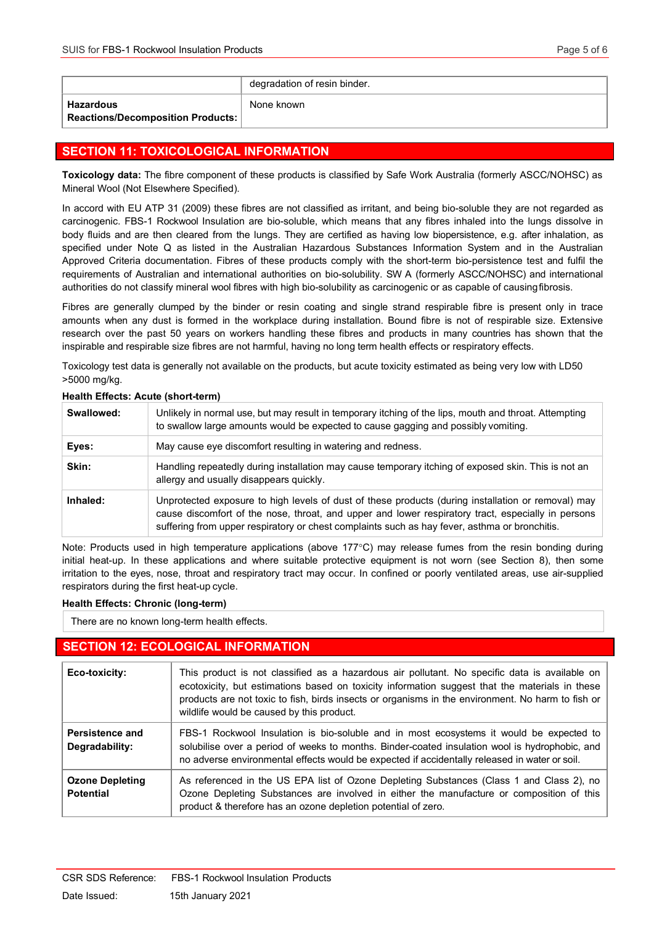|                                                    | degradation of resin binder. |
|----------------------------------------------------|------------------------------|
| ∣ Hazardous<br>  Reactions/Decomposition Products: | None known                   |

## SECTION 11: TOXICOLOGICAL INFORMATION

Toxicology data: The fibre component of these products is classified by Safe Work Australia (formerly ASCC/NOHSC) as Mineral Wool (Not Elsewhere Specified).

In accord with EU ATP 31 (2009) these fibres are not classified as irritant, and being bio-soluble they are not regarded as carcinogenic. FBS-1 Rockwool Insulation are bio-soluble, which means that any fibres inhaled into the lungs dissolve in body fluids and are then cleared from the lungs. They are certified as having low biopersistence, e.g. after inhalation, as specified under Note Q as listed in the Australian Hazardous Substances Information System and in the Australian Approved Criteria documentation. Fibres of these products comply with the short-term bio-persistence test and fulfil the requirements of Australian and international authorities on bio-solubility. SW A (formerly ASCC/NOHSC) and international authorities do not classify mineral wool fibres with high bio-solubility as carcinogenic or as capable of causing fibrosis.

Fibres are generally clumped by the binder or resin coating and single strand respirable fibre is present only in trace amounts when any dust is formed in the workplace during installation. Bound fibre is not of respirable size. Extensive research over the past 50 years on workers handling these fibres and products in many countries has shown that the inspirable and respirable size fibres are not harmful, having no long term health effects or respiratory effects.

Toxicology test data is generally not available on the products, but acute toxicity estimated as being very low with LD50 >5000 mg/kg.

| Swallowed: | Unlikely in normal use, but may result in temporary itching of the lips, mouth and throat. Attempting<br>to swallow large amounts would be expected to cause gagging and possibly vomiting.                                                                                                               |
|------------|-----------------------------------------------------------------------------------------------------------------------------------------------------------------------------------------------------------------------------------------------------------------------------------------------------------|
| Eyes:      | May cause eye discomfort resulting in watering and redness.                                                                                                                                                                                                                                               |
| Skin:      | Handling repeatedly during installation may cause temporary itching of exposed skin. This is not an<br>allergy and usually disappears quickly.                                                                                                                                                            |
| Inhaled:   | Unprotected exposure to high levels of dust of these products (during installation or removal) may<br>cause discomfort of the nose, throat, and upper and lower respiratory tract, especially in persons<br>suffering from upper respiratory or chest complaints such as hay fever, asthma or bronchitis. |

#### Health Effects: Acute (short-term)

Note: Products used in high temperature applications (above 177°C) may release fumes from the resin bonding during initial heat-up. In these applications and where suitable protective equipment is not worn (see Section 8), then some irritation to the eyes, nose, throat and respiratory tract may occur. In confined or poorly ventilated areas, use air-supplied respirators during the first heat-up cycle.

#### Health Effects: Chronic (long-term)

There are no known long-term health effects.

#### SECTION 12: ECOLOGICAL INFORMATION

| Eco-toxicity:                              | This product is not classified as a hazardous air pollutant. No specific data is available on<br>ecotoxicity, but estimations based on toxicity information suggest that the materials in these<br>products are not toxic to fish, birds insects or organisms in the environment. No harm to fish or<br>wildlife would be caused by this product. |
|--------------------------------------------|---------------------------------------------------------------------------------------------------------------------------------------------------------------------------------------------------------------------------------------------------------------------------------------------------------------------------------------------------|
| Persistence and<br>Degradability:          | FBS-1 Rockwool Insulation is bio-soluble and in most ecosystems it would be expected to<br>solubilise over a period of weeks to months. Binder-coated insulation wool is hydrophobic, and<br>no adverse environmental effects would be expected if accidentally released in water or soil.                                                        |
| <b>Ozone Depleting</b><br><b>Potential</b> | As referenced in the US EPA list of Ozone Depleting Substances (Class 1 and Class 2), no<br>Ozone Depleting Substances are involved in either the manufacture or composition of this<br>product & therefore has an ozone depletion potential of zero.                                                                                             |